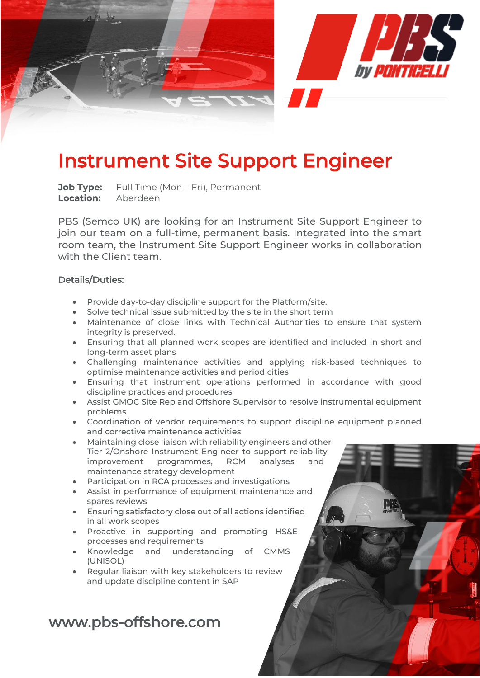

## Instrument Site Support Engineer

**Job Type:** Full Time (Mon – Fri), Permanent **Location:** Aberdeen

PBS (Semco UK) are looking for an Instrument Site Support Engineer to join our team on a full-time, permanent basis. Integrated into the smart room team, the Instrument Site Support Engineer works in collaboration with the Client team.

## Details/Duties:

- Provide day-to-day discipline support for the Platform/site.
- Solve technical issue submitted by the site in the short term
- Maintenance of close links with Technical Authorities to ensure that system integrity is preserved.
- Ensuring that all planned work scopes are identified and included in short and long-term asset plans
- Challenging maintenance activities and applying risk-based techniques to optimise maintenance activities and periodicities
- Ensuring that instrument operations performed in accordance with good discipline practices and procedures
- Assist GMOC Site Rep and Offshore Supervisor to resolve instrumental equipment problems
- Coordination of vendor requirements to support discipline equipment planned and corrective maintenance activities
- Maintaining close liaison with reliability engineers and other Tier 2/Onshore Instrument Engineer to support reliability improvement programmes, RCM analyses and maintenance strategy development
- Participation in RCA processes and investigations
- Assist in performance of equipment maintenance and spares reviews
- Ensuring satisfactory close out of all actions identified in all work scopes
- Proactive in supporting and promoting HS&E processes and requirements
- Knowledge and understanding of CMMS (UNISOL)
- Regular liaison with key stakeholders to review and update discipline content in SAP

## www.pbs-offshore.com